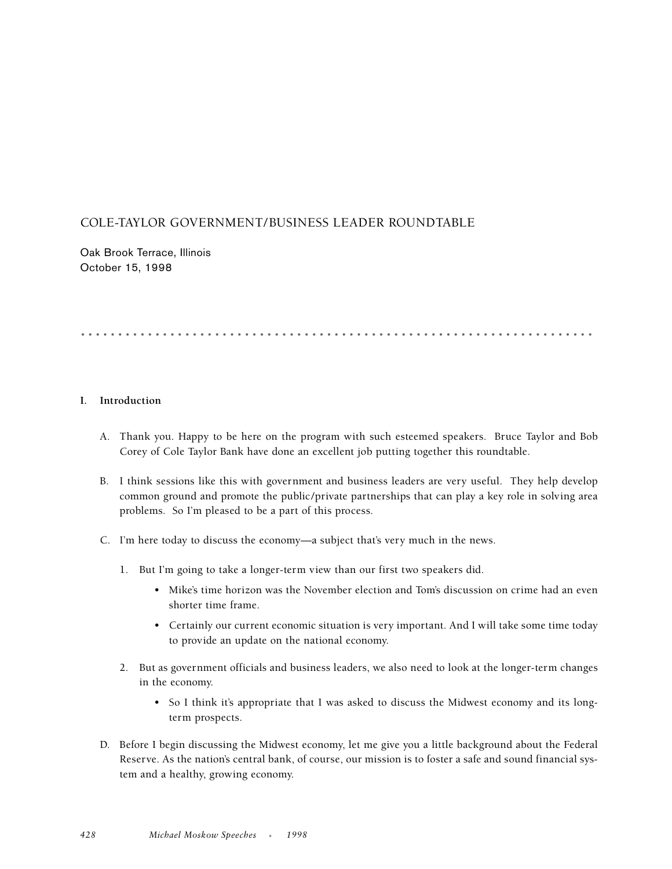# COLE-TAYLOR GOVERNMENT/BUSINESS LEADER ROUNDTABLE

Oak Brook Terrace, Illinois October 15, 1998

# .....................................................................

## **I. Introduction**

- A. Thank you. Happy to be here on the program with such esteemed speakers. Bruce Taylor and Bob Corey of Cole Taylor Bank have done an excellent job putting together this roundtable.
- B. I think sessions like this with government and business leaders are very useful. They help develop common ground and promote the public/private partnerships that can play a key role in solving area problems. So I'm pleased to be a part of this process.
- C. I'm here today to discuss the economy—a subject that's very much in the news.
	- 1. But I'm going to take a longer-term view than our first two speakers did.
		- Mike's time horizon was the November election and Tom's discussion on crime had an even shorter time frame.
		- Certainly our current economic situation is very important. And I will take some time today to provide an update on the national economy.
	- 2. But as government officials and business leaders, we also need to look at the longer-term changes in the economy.
		- So I think it's appropriate that I was asked to discuss the Midwest economy and its longterm prospects.
- D. Before I begin discussing the Midwest economy, let me give you a little background about the Federal Reserve. As the nation's central bank, of course, our mission is to foster a safe and sound financial system and a healthy, growing economy.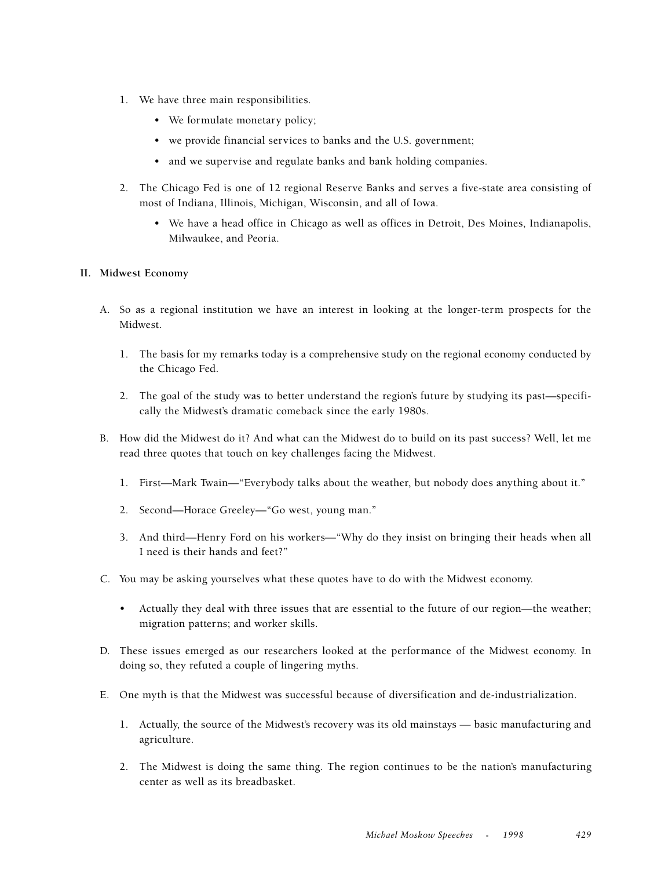- 1. We have three main responsibilities.
	- We formulate monetary policy;
	- we provide financial services to banks and the U.S. government;
	- and we supervise and regulate banks and bank holding companies.
- 2. The Chicago Fed is one of 12 regional Reserve Banks and serves a five-state area consisting of most of Indiana, Illinois, Michigan, Wisconsin, and all of Iowa.
	- We have a head office in Chicago as well as offices in Detroit, Des Moines, Indianapolis, Milwaukee, and Peoria.

### **II. Midwest Economy**

- A. So as a regional institution we have an interest in looking at the longer-term prospects for the Midwest.
	- 1. The basis for my remarks today is a comprehensive study on the regional economy conducted by the Chicago Fed.
	- 2. The goal of the study was to better understand the region's future by studying its past—specifically the Midwest's dramatic comeback since the early 1980s.
- B. How did the Midwest do it? And what can the Midwest do to build on its past success? Well, let me read three quotes that touch on key challenges facing the Midwest.
	- 1. First—Mark Twain—"Everybody talks about the weather, but nobody does anything about it."
	- 2. Second—Horace Greeley—"Go west, young man."
	- 3. And third—Henry Ford on his workers—"Why do they insist on bringing their heads when all I need is their hands and feet?"
- C. You may be asking yourselves what these quotes have to do with the Midwest economy.
	- Actually they deal with three issues that are essential to the future of our region—the weather; migration patterns; and worker skills.
- D. These issues emerged as our researchers looked at the performance of the Midwest economy. In doing so, they refuted a couple of lingering myths.
- E. One myth is that the Midwest was successful because of diversification and de-industrialization.
	- 1. Actually, the source of the Midwest's recovery was its old mainstays basic manufacturing and agriculture.
	- 2. The Midwest is doing the same thing. The region continues to be the nation's manufacturing center as well as its breadbasket.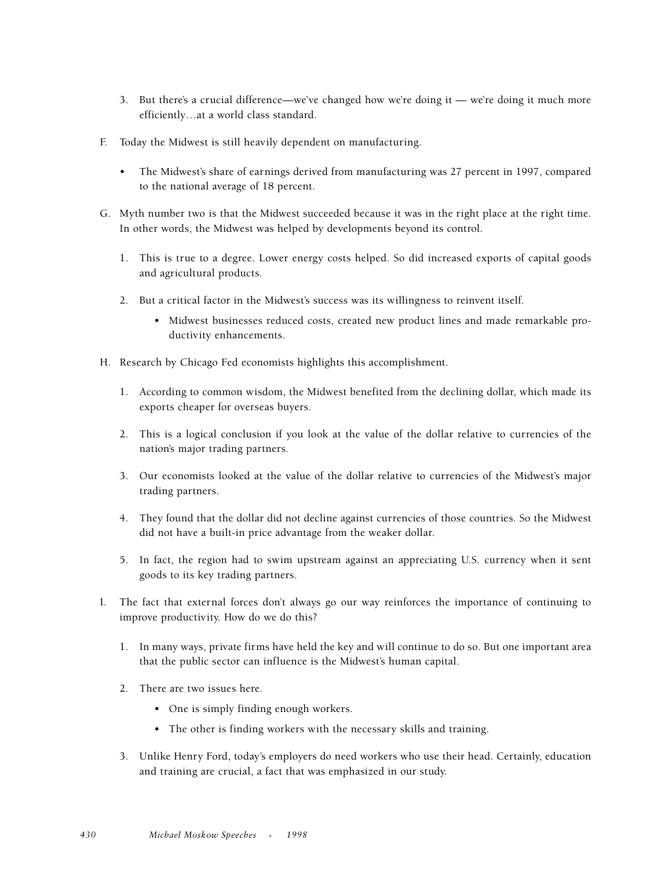- 3. But there's a crucial difference—we've changed how we're doing it we're doing it much more efficiently…at a world class standard.
- F. Today the Midwest is still heavily dependent on manufacturing.
	- The Midwest's share of earnings derived from manufacturing was 27 percent in 1997, compared to the national average of 18 percent.
- G. Myth number two is that the Midwest succeeded because it was in the right place at the right time. In other words, the Midwest was helped by developments beyond its control.
	- 1. This is true to a degree. Lower energy costs helped. So did increased exports of capital goods and agricultural products.
	- 2. But a critical factor in the Midwest's success was its willingness to reinvent itself.
		- Midwest businesses reduced costs, created new product lines and made remarkable productivity enhancements.
- H. Research by Chicago Fed economists highlights this accomplishment.
	- 1. According to common wisdom, the Midwest benefited from the declining dollar, which made its exports cheaper for overseas buyers.
	- 2. This is a logical conclusion if you look at the value of the dollar relative to currencies of the nation's major trading partners.
	- 3. Our economists looked at the value of the dollar relative to currencies of the Midwest's major trading partners.
	- 4. They found that the dollar did not decline against currencies of those countries. So the Midwest did not have a built-in price advantage from the weaker dollar.
	- 5. In fact, the region had to swim upstream against an appreciating U.S. currency when it sent goods to its key trading partners.
- I. The fact that external forces don't always go our way reinforces the importance of continuing to improve productivity. How do we do this?
	- 1. In many ways, private firms have held the key and will continue to do so. But one important area that the public sector can influence is the Midwest's human capital.
	- 2. There are two issues here.
		- One is simply finding enough workers.
		- The other is finding workers with the necessary skills and training.
	- 3. Unlike Henry Ford, today's employers do need workers who use their head. Certainly, education and training are crucial, a fact that was emphasized in our study.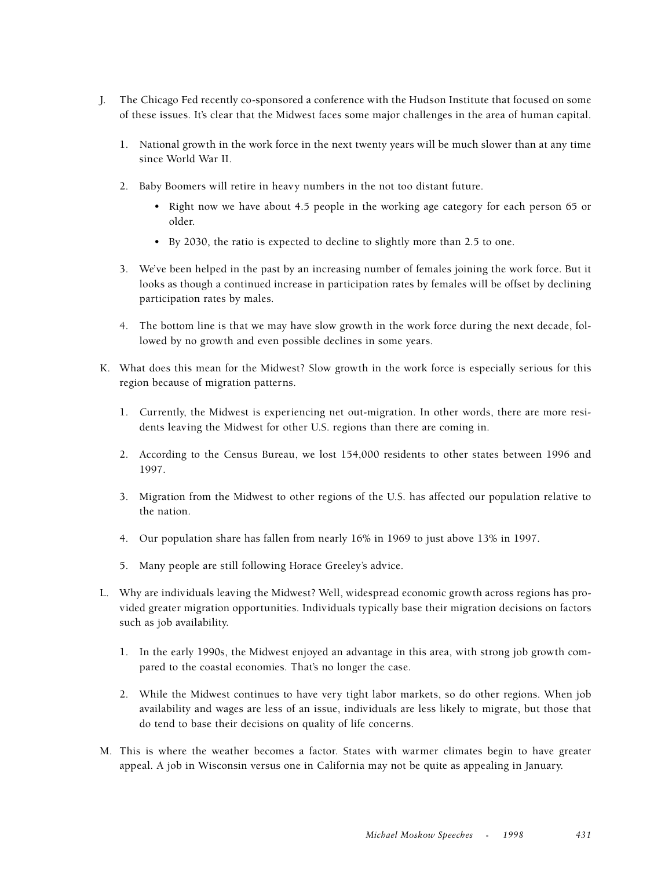- J. The Chicago Fed recently co-sponsored a conference with the Hudson Institute that focused on some of these issues. It's clear that the Midwest faces some major challenges in the area of human capital.
	- 1. National growth in the work force in the next twenty years will be much slower than at any time since World War II.
	- 2. Baby Boomers will retire in heavy numbers in the not too distant future.
		- Right now we have about 4.5 people in the working age category for each person 65 or older.
		- By 2030, the ratio is expected to decline to slightly more than 2.5 to one.
	- 3. We've been helped in the past by an increasing number of females joining the work force. But it looks as though a continued increase in participation rates by females will be offset by declining participation rates by males.
	- 4. The bottom line is that we may have slow growth in the work force during the next decade, followed by no growth and even possible declines in some years.
- K. What does this mean for the Midwest? Slow growth in the work force is especially serious for this region because of migration patterns.
	- 1. Currently, the Midwest is experiencing net out-migration. In other words, there are more residents leaving the Midwest for other U.S. regions than there are coming in.
	- 2. According to the Census Bureau, we lost 154,000 residents to other states between 1996 and 1997.
	- 3. Migration from the Midwest to other regions of the U.S. has affected our population relative to the nation.
	- 4. Our population share has fallen from nearly 16% in 1969 to just above 13% in 1997.
	- 5. Many people are still following Horace Greeley's advice.
- L. Why are individuals leaving the Midwest? Well, widespread economic growth across regions has provided greater migration opportunities. Individuals typically base their migration decisions on factors such as job availability.
	- 1. In the early 1990s, the Midwest enjoyed an advantage in this area, with strong job growth compared to the coastal economies. That's no longer the case.
	- 2. While the Midwest continues to have very tight labor markets, so do other regions. When job availability and wages are less of an issue, individuals are less likely to migrate, but those that do tend to base their decisions on quality of life concerns.
- M. This is where the weather becomes a factor. States with warmer climates begin to have greater appeal. A job in Wisconsin versus one in California may not be quite as appealing in January.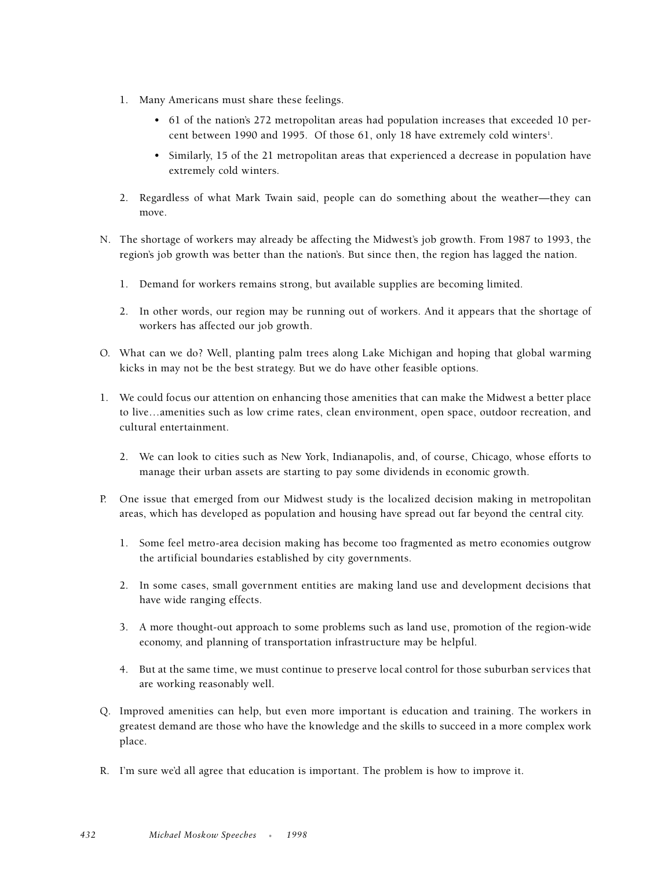- 1. Many Americans must share these feelings.
	- 61 of the nation's 272 metropolitan areas had population increases that exceeded 10 percent between 1990 and 1995. Of those 61, only 18 have extremely cold winters<sup>1</sup>.
	- Similarly, 15 of the 21 metropolitan areas that experienced a decrease in population have extremely cold winters.
- 2. Regardless of what Mark Twain said, people can do something about the weather—they can move.
- N. The shortage of workers may already be affecting the Midwest's job growth. From 1987 to 1993, the region's job growth was better than the nation's. But since then, the region has lagged the nation.
	- 1. Demand for workers remains strong, but available supplies are becoming limited.
	- 2. In other words, our region may be running out of workers. And it appears that the shortage of workers has affected our job growth.
- O. What can we do? Well, planting palm trees along Lake Michigan and hoping that global warming kicks in may not be the best strategy. But we do have other feasible options.
- 1. We could focus our attention on enhancing those amenities that can make the Midwest a better place to live…amenities such as low crime rates, clean environment, open space, outdoor recreation, and cultural entertainment.
	- 2. We can look to cities such as New York, Indianapolis, and, of course, Chicago, whose efforts to manage their urban assets are starting to pay some dividends in economic growth.
- P. One issue that emerged from our Midwest study is the localized decision making in metropolitan areas, which has developed as population and housing have spread out far beyond the central city.
	- 1. Some feel metro-area decision making has become too fragmented as metro economies outgrow the artificial boundaries established by city governments.
	- 2. In some cases, small government entities are making land use and development decisions that have wide ranging effects.
	- 3. A more thought-out approach to some problems such as land use, promotion of the region-wide economy, and planning of transportation infrastructure may be helpful.
	- 4. But at the same time, we must continue to preserve local control for those suburban services that are working reasonably well.
- Q. Improved amenities can help, but even more important is education and training. The workers in greatest demand are those who have the knowledge and the skills to succeed in a more complex work place.
- R. I'm sure we'd all agree that education is important. The problem is how to improve it.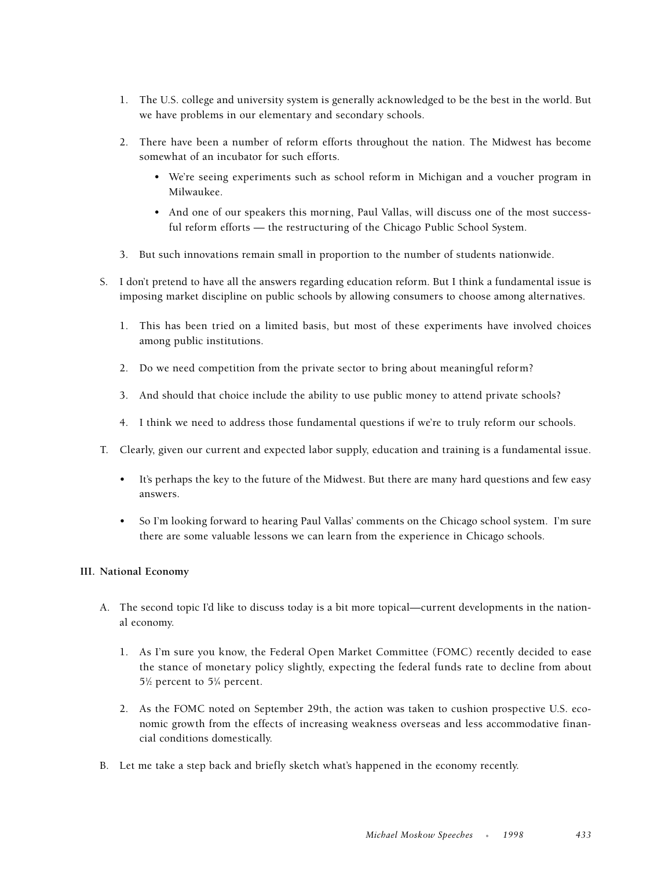- 1. The U.S. college and university system is generally acknowledged to be the best in the world. But we have problems in our elementary and secondary schools.
- 2. There have been a number of reform efforts throughout the nation. The Midwest has become somewhat of an incubator for such efforts.
	- We're seeing experiments such as school reform in Michigan and a voucher program in Milwaukee.
	- And one of our speakers this morning, Paul Vallas, will discuss one of the most successful reform efforts — the restructuring of the Chicago Public School System.
- 3. But such innovations remain small in proportion to the number of students nationwide.
- S. I don't pretend to have all the answers regarding education reform. But I think a fundamental issue is imposing market discipline on public schools by allowing consumers to choose among alternatives.
	- 1. This has been tried on a limited basis, but most of these experiments have involved choices among public institutions.
	- 2. Do we need competition from the private sector to bring about meaningful reform?
	- 3. And should that choice include the ability to use public money to attend private schools?
	- 4. I think we need to address those fundamental questions if we're to truly reform our schools.
- T. Clearly, given our current and expected labor supply, education and training is a fundamental issue.
	- It's perhaps the key to the future of the Midwest. But there are many hard questions and few easy answers.
	- So I'm looking forward to hearing Paul Vallas' comments on the Chicago school system. I'm sure there are some valuable lessons we can learn from the experience in Chicago schools.

### **III. National Economy**

- A. The second topic I'd like to discuss today is a bit more topical—current developments in the national economy.
	- 1. As I'm sure you know, the Federal Open Market Committee (FOMC) recently decided to ease the stance of monetary policy slightly, expecting the federal funds rate to decline from about  $5\%$  percent to  $5\%$  percent.
	- 2. As the FOMC noted on September 29th, the action was taken to cushion prospective U.S. economic growth from the effects of increasing weakness overseas and less accommodative financial conditions domestically.
- B. Let me take a step back and briefly sketch what's happened in the economy recently.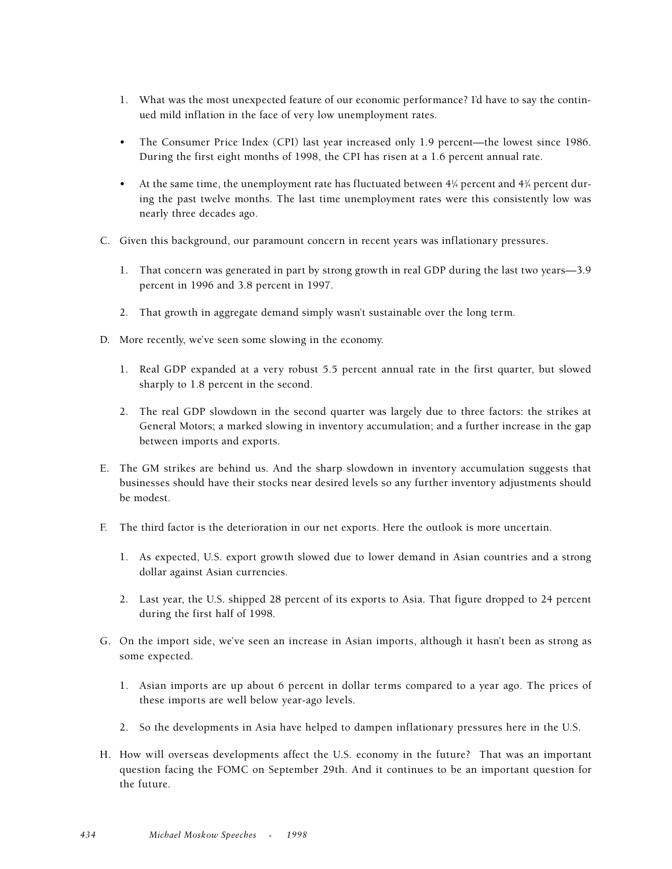- 1. What was the most unexpected feature of our economic performance? I'd have to say the continued mild inflation in the face of very low unemployment rates.
- The Consumer Price Index (CPI) last year increased only 1.9 percent—the lowest since 1986. During the first eight months of 1998, the CPI has risen at a 1.6 percent annual rate.
- At the same time, the unemployment rate has fluctuated between  $4\frac{1}{4}$  percent and  $4\frac{1}{4}$  percent during the past twelve months. The last time unemployment rates were this consistently low was nearly three decades ago.
- C. Given this background, our paramount concern in recent years was inflationary pressures.
	- 1. That concern was generated in part by strong growth in real GDP during the last two years—3.9 percent in 1996 and 3.8 percent in 1997.
	- 2. That growth in aggregate demand simply wasn't sustainable over the long term.
- D. More recently, we've seen some slowing in the economy.
	- 1. Real GDP expanded at a very robust 5.5 percent annual rate in the first quarter, but slowed sharply to 1.8 percent in the second.
	- 2. The real GDP slowdown in the second quarter was largely due to three factors: the strikes at General Motors; a marked slowing in inventory accumulation; and a further increase in the gap between imports and exports.
- E. The GM strikes are behind us. And the sharp slowdown in inventory accumulation suggests that businesses should have their stocks near desired levels so any further inventory adjustments should be modest.
- F. The third factor is the deterioration in our net exports. Here the outlook is more uncertain.
	- 1. As expected, U.S. export growth slowed due to lower demand in Asian countries and a strong dollar against Asian currencies.
	- 2. Last year, the U.S. shipped 28 percent of its exports to Asia. That figure dropped to 24 percent during the first half of 1998.
- G. On the import side, we've seen an increase in Asian imports, although it hasn't been as strong as some expected.
	- 1. Asian imports are up about 6 percent in dollar terms compared to a year ago. The prices of these imports are well below year-ago levels.
	- 2. So the developments in Asia have helped to dampen inflationary pressures here in the U.S.
- H. How will overseas developments affect the U.S. economy in the future? That was an important question facing the FOMC on September 29th. And it continues to be an important question for the future.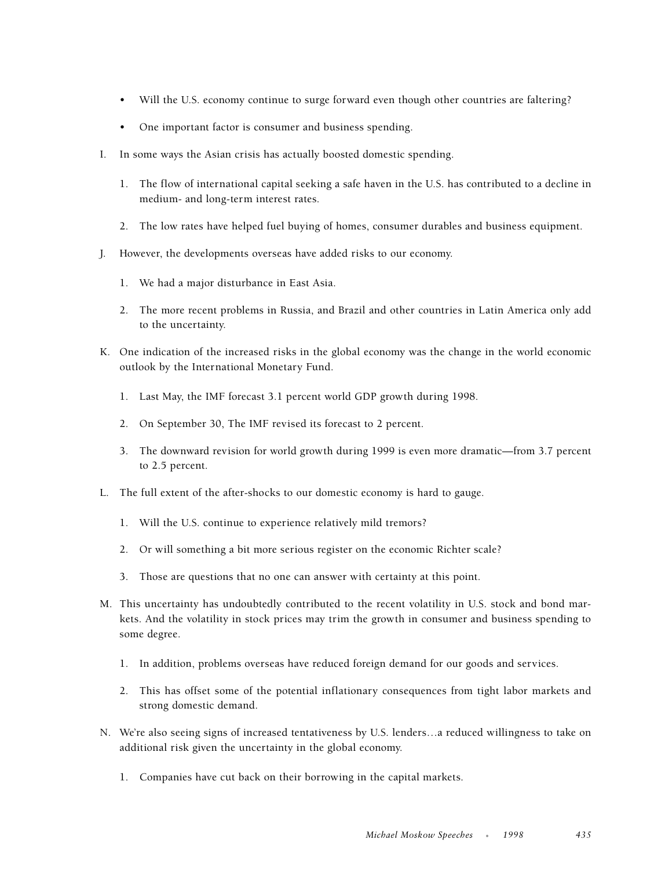- Will the U.S. economy continue to surge forward even though other countries are faltering?
- One important factor is consumer and business spending.
- I. In some ways the Asian crisis has actually boosted domestic spending.
	- 1. The flow of international capital seeking a safe haven in the U.S. has contributed to a decline in medium- and long-term interest rates.
	- 2. The low rates have helped fuel buying of homes, consumer durables and business equipment.
- J. However, the developments overseas have added risks to our economy.
	- 1. We had a major disturbance in East Asia.
	- 2. The more recent problems in Russia, and Brazil and other countries in Latin America only add to the uncertainty.
- K. One indication of the increased risks in the global economy was the change in the world economic outlook by the International Monetary Fund.
	- 1. Last May, the IMF forecast 3.1 percent world GDP growth during 1998.
	- 2. On September 30, The IMF revised its forecast to 2 percent.
	- 3. The downward revision for world growth during 1999 is even more dramatic—from 3.7 percent to 2.5 percent.
- L. The full extent of the after-shocks to our domestic economy is hard to gauge.
	- 1. Will the U.S. continue to experience relatively mild tremors?
	- 2. Or will something a bit more serious register on the economic Richter scale?
	- 3. Those are questions that no one can answer with certainty at this point.
- M. This uncertainty has undoubtedly contributed to the recent volatility in U.S. stock and bond markets. And the volatility in stock prices may trim the growth in consumer and business spending to some degree.
	- 1. In addition, problems overseas have reduced foreign demand for our goods and services.
	- 2. This has offset some of the potential inflationary consequences from tight labor markets and strong domestic demand.
- N. We're also seeing signs of increased tentativeness by U.S. lenders…a reduced willingness to take on additional risk given the uncertainty in the global economy.
	- 1. Companies have cut back on their borrowing in the capital markets.